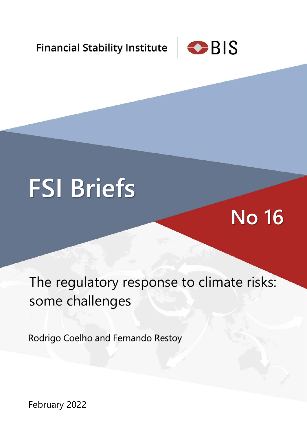**Financial Stability Institute** 



# **FSI Briefs**

## **No 16**

The regulatory response to climate risks: some challenges

Rodrigo Coelho and Fernando Restoy

February 2022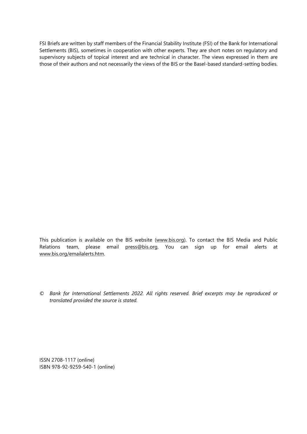FSI Briefs are written by staff members of the Financial Stability Institute (FSI) of the Bank for International Settlements (BIS), sometimes in cooperation with other experts. They are short notes on regulatory and supervisory subjects of topical interest and are technical in character. The views expressed in them are those of their authors and not necessarily the views of the BIS or the Basel-based standard-setting bodies.

This publication is available on the BIS website [\(www.bis.org\)](http://www.bis.org/). To contact the BIS Media and Public Relations team, please email [press@bis.org.](mailto:press@bis.org) You can sign up for email alerts at [www.bis.org/emailalerts.htm.](http://www.bis.org/emailalerts.htm)

*© Bank for International Settlements 2022. All rights reserved. Brief excerpts may be reproduced or translated provided the source is stated.*

ISSN 2708-1117 (online) ISBN 978-92-9259-540-1 (online)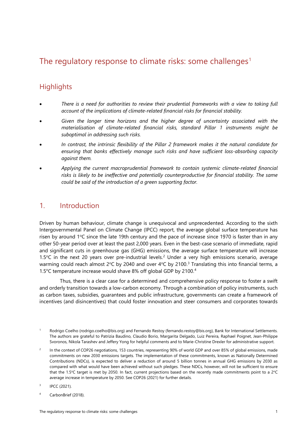### The regulatory response to climate risks: some challenges<sup>[1](#page-2-0)</sup>

#### **Highlights**

- *There is a need for authorities to review their prudential frameworks with a view to taking full account of the implications of climate-related financial risks for financial stability.*
- *Given the longer time horizons and the higher degree of uncertainty associated with the materialisation of climate-related financial risks, standard Pillar 1 instruments might be suboptimal in addressing such risks.*
- *In contrast, the intrinsic flexibility of the Pillar 2 framework makes it the natural candidate for ensuring that banks effectively manage such risks and have sufficient loss-absorbing capacity against them.*
- *Applying the current macroprudential framework to contain systemic climate-related financial risks is likely to be ineffective and potentially counterproductive for financial stability. The same could be said of the introduction of a green supporting factor.*

#### 1. Introduction

Driven by human behaviour, climate change is unequivocal and unprecedented. According to the sixth Intergovernmental Panel on Climate Change (IPCC) report, the average global surface temperature has risen by around  $1^{\circ}$ C since the late 19th century and the pace of increase since 1970 is faster than in any other 50-year period over at least the past 2,000 years. Even in the best-case scenario of immediate, rapid and significant cuts in greenhouse gas (GHG) emissions, the average surface temperature will increase 1.5 $\degree$ C in the next [2](#page-2-1)0 years over pre-industrial levels.<sup>2</sup> Under a very high emissions scenario, average warming could reach almost 2°C by 2040 and over 4°C by 2100.<sup>[3](#page-2-2)</sup> Translating this into financial terms, a 1.5°C temperature increase would shave 8% off global GDP by 2100.[4](#page-2-3)

Thus, there is a clear case for a determined and comprehensive policy response to foster a swift and orderly transition towards a low-carbon economy. Through a combination of policy instruments, such as carbon taxes, subsidies, guarantees and public infrastructure, governments can create a framework of incentives (and disincentives) that could foster innovation and steer consumers and corporates towards

<span id="page-2-3"></span><sup>4</sup> CarbonBrief (2018).

<span id="page-2-0"></span><sup>1</sup> Rodrigo Coelho (rodrigo.coelho@bis.org) and Fernando Restoy (fernando.restoy@bis.org), Bank for International Settlements. The authors are grateful to Patrizia Baudino, Claudio Borio, Margarita Delgado, Luiz Pereira, Raphael Poignet, Jean-Philippe Svoronos, Nikola Tarashev and Jeffery Yong for helpful comments and to Marie-Christine Drexler for administrative support.

<span id="page-2-1"></span><sup>&</sup>lt;sup>2</sup> In the context of COP26 negotiations, 153 countries, representing 90% of world GDP and over 85% of global emissions, made commitments on new 2030 emissions targets. The implementation of these commitments, known as Nationally Determined Contributions (NDCs), is expected to deliver a reduction of around 5 billion tonnes in annual GHG emissions by 2030 as compared with what would have been achieved without such pledges. These NDCs, however, will not be sufficient to ensure that the 1.5°C target is met by 2050. In fact, current projections based on the recently made commitments point to a 2°C average increase in temperature by 2050. See COP26 (2021) for further details.

<span id="page-2-2"></span> $1^{3}$  IPCC (2021).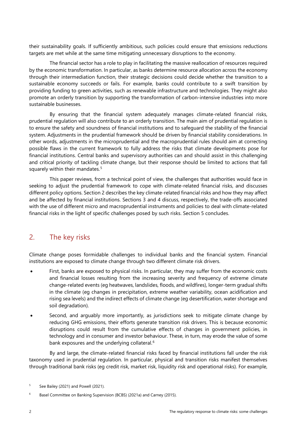their sustainability goals. If sufficiently ambitious, such policies could ensure that emissions reductions targets are met while at the same time mitigating unnecessary disruptions to the economy.

The financial sector has a role to play in facilitating the massive reallocation of resources required by the economic transformation. In particular, as banks determine resource allocation across the economy through their intermediation function, their strategic decisions could decide whether the transition to a sustainable economy succeeds or fails. For example, banks could contribute to a swift transition by providing funding to green activities, such as renewable infrastructure and technologies. They might also promote an orderly transition by supporting the transformation of carbon-intensive industries into more sustainable businesses.

By ensuring that the financial system adequately manages climate-related financial risks, prudential regulation will also contribute to an orderly transition. The main aim of prudential regulation is to ensure the safety and soundness of financial institutions and to safeguard the stability of the financial system. Adjustments in the prudential framework should be driven by financial stability considerations. In other words, adjustments in the microprudential and the macroprudential rules should aim at correcting possible flaws in the current framework to fully address the risks that climate developments pose for financial institutions. Central banks and supervisory authorities can and should assist in this challenging and critical priority of tackling climate change, but their response should be limited to actions that fall squarely within their mandates.<sup>[5](#page-3-0)</sup>

This paper reviews, from a technical point of view, the challenges that authorities would face in seeking to adjust the prudential framework to cope with climate-related financial risks, and discusses different policy options. Section 2 describes the key climate-related financial risks and how they may affect and be affected by financial institutions. Sections 3 and 4 discuss, respectively, the trade-offs associated with the use of different micro and macroprudential instruments and policies to deal with climate-related financial risks in the light of specific challenges posed by such risks. Section 5 concludes.

#### 2. The key risks

Climate change poses formidable challenges to individual banks and the financial system. Financial institutions are exposed to climate change through two different climate risk drivers.

- First, banks are exposed to physical risks. In particular, they may suffer from the economic costs and financial losses resulting from the increasing severity and frequency of extreme climate change-related events (eg heatwaves, landslides, floods, and wildfires), longer-term gradual shifts in the climate (eg changes in precipitation, extreme weather variability, ocean acidification and rising sea levels) and the indirect effects of climate change (eg desertification, water shortage and soil degradation).
- Second, and arguably more importantly, as jurisdictions seek to mitigate climate change by reducing GHG emissions, their efforts generate transition risk drivers. This is because economic disruptions could result from the cumulative effects of changes in government policies, in technology and in consumer and investor behaviour. These, in turn, may erode the value of some bank exposures and the underlying collateral.<sup>[6](#page-3-1)</sup>

By and large, the climate-related financial risks faced by financial institutions fall under the risk taxonomy used in prudential regulation. In particular, physical and transition risks manifest themselves through traditional bank risks (eg credit risk, market risk, liquidity risk and operational risks). For example,

<span id="page-3-0"></span><sup>&</sup>lt;sup>5</sup> See Bailey (2021) and Powell (2021).

<span id="page-3-1"></span><sup>&</sup>lt;sup>6</sup> Basel Committee on Banking Supervision (BCBS) (2021a) and Carney (2015).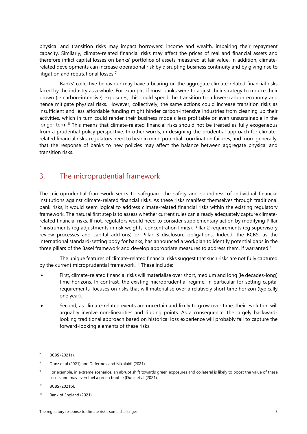physical and transition risks may impact borrowers' income and wealth, impairing their repayment capacity. Similarly, climate-related financial risks may affect the prices of real and financial assets and therefore inflict capital losses on banks' portfolios of assets measured at fair value. In addition, climaterelated developments can increase operational risk by disrupting business continuity and by giving rise to litigation and reputational losses.<sup>[7](#page-4-0)</sup>

Banks' collective behaviour may have a bearing on the aggregate climate-related financial risks faced by the industry as a whole. For example, if most banks were to adjust their strategy to reduce their brown (ie carbon-intensive) exposures, this could speed the transition to a lower-carbon economy and hence mitigate physical risks. However, collectively, the same actions could increase transition risks as insufficient and less affordable funding might hinder carbon-intensive industries from cleaning up their activities, which in turn could render their business models less profitable or even unsustainable in the longer term.<sup>[8](#page-4-1)</sup> This means that climate-related financial risks should not be treated as fully exogeneous from a prudential policy perspective. In other words, in designing the prudential approach for climaterelated financial risks, regulators need to bear in mind potential coordination failures, and more generally, that the response of banks to new policies may affect the balance between aggregate physical and transition risks.<sup>[9](#page-4-2)</sup>

#### 3. The microprudential framework

The microprudential framework seeks to safeguard the safety and soundness of individual financial institutions against climate-related financial risks. As these risks manifest themselves through traditional bank risks, it would seem logical to address climate-related financial risks within the existing regulatory framework. The natural first step is to assess whether current rules can already adequately capture climaterelated financial risks. If not, regulators would need to consider supplementary action by modifying Pillar 1 instruments (eg adjustments in risk weights, concentration limits), Pillar 2 requirements (eg supervisory review processes and capital add-ons) or Pillar 3 disclosure obligations. Indeed, the BCBS, as the international standard-setting body for banks, has announced a workplan to identify potential gaps in the three pillars of the Basel framework and develop appropriate measures to address them, if warranted. $^{10}$  $^{10}$  $^{10}$ 

The unique features of climate-related financial risks suggest that such risks are not fully captured by the current microprudential framework.<sup>[11](#page-4-4)</sup> These include:

- First, climate-related financial risks will materialise over short, medium and long (ie decades-long) time horizons. In contrast, the existing microprudential regime, in particular for setting capital requirements, focuses on risks that will materialise over a relatively short time horizon (typically one year).
- Second, as climate-related events are uncertain and likely to grow over time, their evolution will arguably involve non-linearities and tipping points. As a consequence, the largely backwardlooking traditional approach based on historical loss experience will probably fail to capture the forward-looking elements of these risks.

<span id="page-4-2"></span><sup>9</sup> For example, in extreme scenarios, an abrupt shift towards green exposures and collateral is likely to boost the value of these assets and may even fuel a green bubble (Dunz et al (2021).

<span id="page-4-0"></span><sup>7</sup> BCBS (2021a).

<span id="page-4-1"></span><sup>8</sup> Dunz et al (2021) and Dafermos and Nikolaidi (2021).

<span id="page-4-3"></span><sup>10</sup> BCBS (2021b).

<span id="page-4-4"></span><sup>11</sup> Bank of England (2021).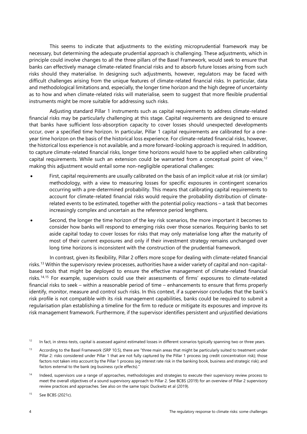This seems to indicate that adjustments to the existing microprudential framework may be necessary, but determining the adequate prudential approach is challenging. These adjustments, which in principle could involve changes to all the three pillars of the Basel Framework, would seek to ensure that banks can effectively manage climate-related financial risks and to absorb future losses arising from such risks should they materialise. In designing such adjustments, however, regulators may be faced with difficult challenges arising from the unique features of climate-related financial risks. In particular, data and methodological limitations and, especially, the longer time horizon and the high degree of uncertainty as to how and when climate-related risks will materialise, seem to suggest that more flexible prudential instruments might be more suitable for addressing such risks.

Adjusting standard Pillar 1 instruments such as capital requirements to address climate-related financial risks may be particularly challenging at this stage. Capital requirements are designed to ensure that banks have sufficient loss-absorption capacity to cover losses should unexpected developments occur, over a specified time horizon. In particular, Pillar 1 capital requirements are calibrated for a oneyear time horizon on the basis of the historical loss experience. For climate-related financial risks, however, the historical loss experience is not available, and a more forward-looking approach is required. In addition, to capture climate-related financial risks, longer time horizons would have to be applied when calibrating capital requirements. While such an extension could be warranted from a conceptual point of view,<sup>[12](#page-5-0)</sup> making this adjustment would entail some non-negligible operational challenges:

- First, capital requirements are usually calibrated on the basis of an implicit value at risk (or similar) methodology, with a view to measuring losses for specific exposures in contingent scenarios occurring with a pre-determined probability. This means that calibrating capital requirements to account for climate-related financial risks would require the probability distribution of climaterelated events to be estimated, together with the potential policy reactions – a task that becomes increasingly complex and uncertain as the reference period lengthens.
- Second, the longer the time horizon of the key risk scenarios, the more important it becomes to consider how banks will respond to emerging risks over those scenarios. Requiring banks to set aside capital today to cover losses for risks that may only materialise long after the maturity of most of their current exposures and only if their investment strategy remains unchanged over long time horizons is inconsistent with the construction of the prudential framework.

In contrast, given its flexibility, Pillar 2 offers more scope for dealing with climate-related financial risks.[13](#page-5-1) Within the supervisory review processes, authorities have a wider variety of capital and non-capitalbased tools that might be deployed to ensure the effective management of climate-related financial risks.<sup>[14,](#page-5-2)[15](#page-5-3)</sup> For example, supervisors could use their assessments of firms' exposures to climate-related financial risks to seek – within a reasonable period of time – enhancements to ensure that firms properly identify, monitor, measure and control such risks. In this context, if a supervisor concludes that the bank's risk profile is not compatible with its risk management capabilities, banks could be required to submit a regularisation plan establishing a timeline for the firm to reduce or mitigate its exposures and improve its risk management framework. Furthermore, if the supervisor identifies persistent and unjustified deviations

<span id="page-5-3"></span><sup>15</sup> See BCBS (2021c).

<span id="page-5-0"></span> $12$  In fact, in stress-tests, capital is assessed against estimated losses in different scenarios typically spanning two or three years.

<span id="page-5-1"></span><sup>&</sup>lt;sup>13</sup> According to the Basel Framework (SRP 10.5), there are "three main areas that might be particularly suited to treatment under Pillar 2: risks considered under Pillar 1 that are not fully captured by the Pillar 1 process (eg credit concentration risk); those factors not taken into account by the Pillar 1 process (eg interest rate risk in the banking book, business and strategic risk); and factors external to the bank (eg business cycle effects)."

<span id="page-5-2"></span><sup>&</sup>lt;sup>14</sup> Indeed, supervisors use a range of approaches, methodologies and strategies to execute their supervisory review process to meet the overall objectives of a sound supervisory approach to Pillar 2. See BCBS (2019) for an overview of Pillar 2 supervisory review practices and approaches. See also on the same topic Duckwitz et al (2019).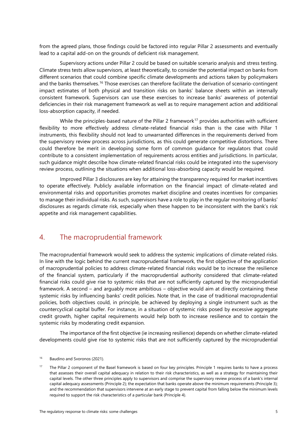from the agreed plans, those findings could be factored into regular Pillar 2 assessments and eventually lead to a capital add-on on the grounds of deficient risk management.

Supervisory actions under Pillar 2 could be based on suitable scenario analysis and stress testing. Climate stress tests allow supervisors, at least theoretically, to consider the potential impact on banks from different scenarios that could combine specific climate developments and actions taken by policymakers and the banks themselves.<sup>[16](#page-6-0)</sup> Those exercises can therefore facilitate the derivation of scenario-contingent impact estimates of both physical and transition risks on banks' balance sheets within an internally consistent framework. Supervisors can use these exercises to increase banks' awareness of potential deficiencies in their risk management framework as well as to require management action and additional loss-absorption capacity, if needed.

While the principles-based nature of the Pillar 2 framework<sup>[17](#page-6-1)</sup> provides authorities with sufficient flexibility to more effectively address climate-related financial risks than is the case with Pillar 1 instruments, this flexibility should not lead to unwarranted differences in the requirements derived from the supervisory review process across jurisdictions, as this could generate competitive distortions. There could therefore be merit in developing some form of common guidance for regulators that could contribute to a consistent implementation of requirements across entities and jurisdictions. In particular, such guidance might describe how climate-related financial risks could be integrated into the supervisory review process, outlining the situations when additional loss-absorbing capacity would be required.

Improved Pillar 3 disclosures are key for attaining the transparency required for market incentives to operate effectively. Publicly available information on the financial impact of climate-related and environmental risks and opportunities promotes market discipline and creates incentives for companies to manage their individual risks. As such, supervisors have a role to play in the regular monitoring of banks' disclosures as regards climate risk, especially when these happen to be inconsistent with the bank's risk appetite and risk management capabilities.

#### 4. The macroprudential framework

The macroprudential framework would seek to address the systemic implications of climate-related risks. In line with the logic behind the current macroprudential framework, the first objective of the application of macroprudential policies to address climate-related financial risks would be to increase the resilience of the financial system, particularly if the macroprudential authority considered that climate-related financial risks could give rise to systemic risks that are not sufficiently captured by the microprudential framework. A second – and arguably more ambitious – objective would aim at directly containing these systemic risks by influencing banks' credit policies. Note that, in the case of traditional macroprudential policies, both objectives could, in principle, be achieved by deploying a single instrument such as the countercyclical capital buffer. For instance, in a situation of systemic risks posed by excessive aggregate credit growth, higher capital requirements would help both to increase resilience and to contain the systemic risks by moderating credit expansion.

The importance of the first objective (ie increasing resilience) depends on whether climate-related developments could give rise to systemic risks that are not sufficiently captured by the microprudential

<span id="page-6-0"></span><sup>&</sup>lt;sup>16</sup> Baudino and Svoronos (2021).

<span id="page-6-1"></span><sup>&</sup>lt;sup>17</sup> The Pillar 2 component of the Basel framework is based on four key principles. Principle 1 requires banks to have a process that assesses their overall capital adequacy in relation to their risk characteristics, as well as a strategy for maintaining their capital levels. The other three principles apply to supervisors and comprise the supervisory review process of a bank's internal capital adequacy assessments (Principle 2); the expectation that banks operate above the minimum requirements (Principle 3); and the recommendation that supervisors intervene at an early stage to prevent capital from falling below the minimum levels required to support the risk characteristics of a particular bank (Principle 4).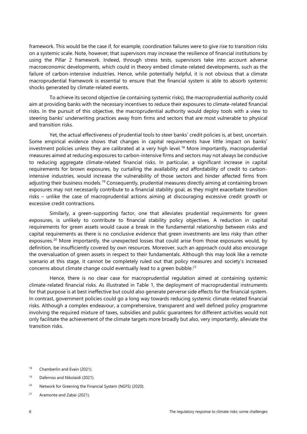framework. This would be the case if, for example, coordination failures were to give rise to transition risks on a systemic scale. Note, however, that supervisors may increase the resilience of financial institutions by using the Pillar 2 framework. Indeed, through stress tests, supervisors take into account adverse macroeconomic developments, which could in theory embed climate-related developments, such as the failure of carbon-intensive industries. Hence, while potentially helpful, it is not obvious that a climate macroprudential framework is essential to ensure that the financial system is able to absorb systemic shocks generated by climate-related events.

To achieve its second objective (ie containing systemic risks), the macroprudential authority could aim at providing banks with the necessary incentives to reduce their exposures to climate-related financial risks. In the pursuit of this objective, the macroprudential authority would deploy tools with a view to steering banks' underwriting practices away from firms and sectors that are most vulnerable to physical and transition risks.

Yet, the actual effectiveness of prudential tools to steer banks' credit policies is, at best, uncertain. Some empirical evidence shows that changes in capital requirements have little impact on banks' investment policies unless they are calibrated at a very high level.<sup>[18](#page-7-0)</sup> More importantly, macroprudential measures aimed at reducing exposures to carbon-intensive firms and sectors may not always be conducive to reducing aggregate climate-related financial risks. In particular, a significant increase in capital requirements for brown exposures, by curtailing the availability and affordability of credit to carbonintensive industries, would increase the vulnerability of those sectors and hinder affected firms from adjusting their business models.<sup>[19](#page-7-1)</sup> Consequently, prudential measures directly aiming at containing brown exposures may not necessarily contribute to a financial stability goal, as they might exacerbate transition risks – unlike the case of macroprudential actions aiming at discouraging excessive credit growth or excessive credit contractions.

Similarly, a green-supporting factor, one that alleviates prudential requirements for green exposures, is unlikely to contribute to financial stability policy objectives. A reduction in capital requirements for green assets would cause a break in the fundamental relationship between risks and capital requirements as there is no conclusive evidence that green investments are less risky than other exposures.<sup>[20](#page-7-2)</sup> More importantly, the unexpected losses that could arise from those exposures would, by definition, be insufficiently covered by own resources. Moreover, such an approach could also encourage the overvaluation of green assets in respect to their fundamentals. Although this may look like a remote scenario at this stage, it cannot be completely ruled out that policy measures and society's increased concerns about climate change could eventually lead to a green bubble. [21](#page-7-3)

Hence, there is no clear case for macroprudential regulation aimed at containing systemic climate-related financial risks. As illustrated in Table 1, the deployment of macroprudential instruments for that purpose is at best ineffective but could also generate perverse side effects for the financial system. In contrast, government policies could go a long way towards reducing systemic climate-related financial risks. Although a complex endeavour, a comprehensive, transparent and well defined policy programme involving the required mixture of taxes, subsidies and public guarantees for different activities would not only facilitate the achievement of the climate targets more broadly but also, very importantly, alleviate the transition risks.

<span id="page-7-2"></span><sup>20</sup> Network for Greening the Financial System (NGFS) (2020).

<span id="page-7-0"></span><sup>&</sup>lt;sup>18</sup> Chamberlin and Evain (2021).

<span id="page-7-1"></span><sup>19</sup> Dafernos and Nikolaidi (2021).

<span id="page-7-3"></span><sup>21</sup> Aramonte and Zabai (2021).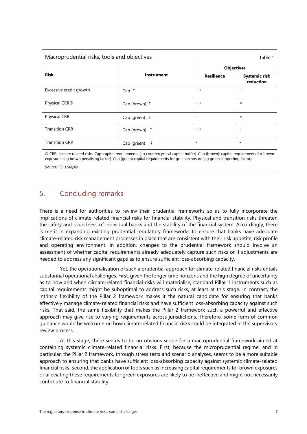#### Macroprudential risks, tools and objectives Table 1

|                           |                          | <b>Objectives</b>        |                                   |
|---------------------------|--------------------------|--------------------------|-----------------------------------|
| <b>Risk</b>               | <b>Instrument</b>        | <b>Resilience</b>        | <b>Systemic risk</b><br>reduction |
| Excessive credit growth   | Cap <sub>f</sub>         | $+ +$                    | $\ddot{}$                         |
| Physical CRR <sup>O</sup> | Cap (brown) 1            | $+ +$                    | $=$                               |
| Physical CRR              | Cap (green) $\downarrow$ | -                        | $=$                               |
| <b>Transition CRR</b>     | Cap (brown) 1            | $+ +$                    |                                   |
| <b>Transition CRR</b>     | Cap (green)<br>у         | $\overline{\phantom{0}}$ |                                   |

① CRR: climate related risks. Cap: capital requirements (eg countercyclical capital buffer). Cap (brown): capital requirements for brown exposures (eg brown penalising factor). Cap (green) capital requirements for green exposure (eg green supporting factor).

Source: FSI analysis.

#### 5. Concluding remarks

There is a need for authorities to review their prudential frameworks so as to fully incorporate the implications of climate-related financial risks for financial stability. Physical and transition risks threaten the safety and soundness of individual banks and the stability of the financial system. Accordingly, there is merit in expanding existing prudential regulatory frameworks to ensure that banks have adequate climate-related risk management processes in place that are consistent with their risk appetite, risk profile and operating environment. In addition, changes to the prudential framework should involve an assessment of whether capital requirements already adequately capture such risks or if adjustments are needed to address any significant gaps as to ensure sufficient loss-absorbing capacity.

Yet, the operationalisation of such a prudential approach for climate-related financial risks entails substantial operational challenges. First, given the longer time horizons and the high degree of uncertainty as to how and when climate-related financial risks will materialise, standard Pillar 1 instruments such as capital requirements might be suboptimal to address such risks, at least at this stage. In contrast, the intrinsic flexibility of the Pillar 2 framework makes it the natural candidate for ensuring that banks effectively manage climate-related financial risks and have sufficient loss-absorbing capacity against such risks. That said, the same flexibility that makes the Pillar 2 framework such a powerful and effective approach may give rise to varying requirements across jurisdictions. Therefore, some form of common guidance would be welcome on how climate-related financial risks could be integrated in the supervisory review process.

At this stage, there seems to be no obvious scope for a macroprudential framework aimed at containing systemic climate-related financial risks. First, because the microprudential regime, and in particular, the Pillar 2 framework, through stress tests and scenario analyses, seems to be a more suitable approach to ensuring that banks have sufficient loss-absorbing capacity against systemic climate-related financial risks. Second, the application of tools such as increasing capital requirements for brown exposures or alleviating these requirements for green exposures are likely to be ineffective and might not necessarily contribute to financial stability.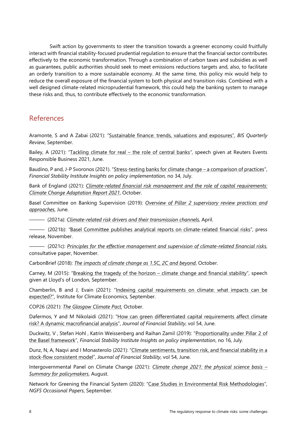Swift action by governments to steer the transition towards a greener economy could fruitfully interact with financial stability-focused prudential regulation to ensure that the financial sector contributes effectively to the economic transformation. Through a combination of carbon taxes and subsidies as well as guarantees, public authorities should seek to meet emissions reductions targets and, also, to facilitate an orderly transition to a more sustainable economy. At the same time, this policy mix would help to reduce the overall exposure of the financial system to both physical and transition risks. Combined with a well designed climate-related microprudential framework, this could help the banking system to manage these risks and, thus, to contribute effectively to the economic transformation.

#### References

Aramonte, S and A Zabai (2021): ["Sustainable finance: trends, valuations and exposures"](https://www.bis.org/publ/qtrpdf/r_qt2109v.htm), *BIS Quarterly Review*, September.

Bailey, A (2021): ["Tackling climate for real –](https://www.bankofengland.co.uk/speech/2020/andrew-bailey-speech-corporation-of-london-green-horizon-summit) the role of central banks*"*, speech given at Reuters Events Responsible Business 2021, June.

Baudino, P and, J-P Svoronos (2021). ["Stress-testing banks for climate change –](https://www.bis.org/fsi/publ/insights34.htm) a comparison of practices", *Financial Stability Institute Insights on policy implementation,* no 34, July.

Bank of England (2021): *[Climate-related financial risk management and the role of capital requirements:](https://www.bankofengland.co.uk/-/media/boe/files/prudential-regulation/publication/2021/october/climate-change-adaptation-report-2021.pdf?la=en&hash=FF4A0C618471462E10BC704D4AA58727EC8F8720)  Climate Change Adaptation Report 2021*, October.

Basel Committee on Banking Supervision (2019): *[Overview of Pillar 2 supervisory review practices and](https://www.bis.org/bcbs/publ/d465.pdf)  [approaches](https://www.bis.org/bcbs/publ/d465.pdf)*, June.

——— (2021a): *[Climate-related risk drivers and their transmission channels,](https://www.bis.org/bcbs/publ/d517.pdf)* April.

——— (2021b): *"*[Basel Committee publishes analytical reports on climate-related financial risks"](https://www.bis.org/press/p210414.htm), press release, November.

——— (2021c): *[Principles for the effective management and supervision of climate-related financial risks,](https://www.bis.org/bcbs/publ/d530.htm)* consultative paper, November.

CarbonBrief (2018): *[The impacts of climate change as 1.5C, 2C and beyond](https://interactive.carbonbrief.org/impacts-climate-change-one-point-five-degrees-two-degrees/?utm_source=web&utm_campaign=Redirect)*, October.

Carney, M (2015): ["Breaking the tragedy of the horizon –](https://www.bankofengland.co.uk/speech/2015/breaking-the-tragedy-of-the-horizon-climate-change-and-financial%20stability) climate change and financial stability", speech given at Lloyd's of London, September.

Chamberlin, B and J, Evain (2021): "Indexing capital requirements on climate: what impacts can be [expected?"](https://www.i4ce.org/wp-core/wp-content/uploads/2021/09/I4CE-rapport_Indexing-capital-requirements-on-climate.pdf), Institute for Climate Economics, September.

COP26 (2021): *[The Glasgow Climate Pact,](https://ukcop26.org/wp-content/uploads/2021/11/COP26-The-Glasgow-Climate-Pact.pdf)* October.

Dafermos, Y and M Nikolaidi (2021): ["How can green differentiated capital requirements affect climate](https://www.sciencedirect.com/science/article/pii/S1572308921000310)  [risk? A dynamic macrofinancial analysis"](https://www.sciencedirect.com/science/article/pii/S1572308921000310), *Journal of Financial Stability*, vol 54, June.

[Duckwitz,](https://www.bis.org/author/vincent_duckwitz.htm) V , [Stefan](https://www.bis.org/author/stefan_hohl.htm) Hohl , Katrin [Weissenberg](https://www.bis.org/author/katrin_weissenberg.htm) and [Raihan](https://www.bis.org/author/raihan_zamil.htm) Zamil (2019): "Proportionality [under Pillar 2 of](https://www.bis.org/fsi/publ/insights16.htm)  [the Basel framework"](https://www.bis.org/fsi/publ/insights16.htm), *Financial Stability Institute Insights on policy implementation*, no 16, July.

Dunz, N, A, Naqvi and I Monasterolo (2021): ["Climate sentiments, transition risk, and financial stability in a](https://www.sciencedirect.com/science/article/pii/S1572308921000322)  [stock-flow consistent model"](https://www.sciencedirect.com/science/article/pii/S1572308921000322), *Journal of Financial Stability*, vol 54, June.

Intergovernmental Panel on Climate Change (2021): *[Climate change 2021: the physical science basis –](https://www.ipcc.ch/report/ar6/wg1/downloads/report/IPCC_AR6_WGI_SPM.pdf) [Summary for policymakers](https://www.ipcc.ch/report/ar6/wg1/downloads/report/IPCC_AR6_WGI_SPM.pdf)*, August.

Network for Greening the Financial System (2020): ["Case Studies in Environmental Risk Methodologies"](https://www.ngfs.net/sites/default/files/medias/documents/case_studies_of_environmental_risk_analysis_methodologies.pdf), *NGFS Occasional Papers*, September.